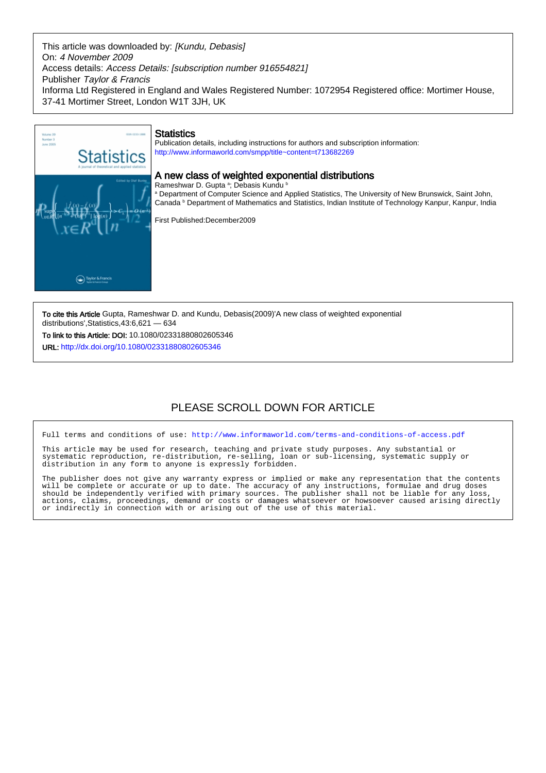This article was downloaded by: [Kundu, Debasis] On: 4 November 2009 Access details: Access Details: [subscription number 916554821] Publisher Taylor & Francis Informa Ltd Registered in England and Wales Registered Number: 1072954 Registered office: Mortimer House, 37-41 Mortimer Street, London W1T 3JH, UK



## **Statistics**

Publication details, including instructions for authors and subscription information: <http://www.informaworld.com/smpp/title~content=t713682269>

# A new class of weighted exponential distributions

Rameshwar D. Gupta <sup>a</sup>; Debasis Kundu b a Department of Computer Science and Applied Statistics, The University of New Brunswick, Saint John, Canada **b Department of Mathematics and Statistics**, Indian Institute of Technology Kanpur, Kanpur, India

First Published:December2009

To cite this Article Gupta, Rameshwar D. and Kundu, Debasis(2009)'A new class of weighted exponential distributions',Statistics,43:6,621 — 634 To link to this Article: DOI: 10.1080/02331880802605346 URL: <http://dx.doi.org/10.1080/02331880802605346>

# PLEASE SCROLL DOWN FOR ARTICLE

Full terms and conditions of use:<http://www.informaworld.com/terms-and-conditions-of-access.pdf>

This article may be used for research, teaching and private study purposes. Any substantial or systematic reproduction, re-distribution, re-selling, loan or sub-licensing, systematic supply or distribution in any form to anyone is expressly forbidden.

The publisher does not give any warranty express or implied or make any representation that the contents will be complete or accurate or up to date. The accuracy of any instructions, formulae and drug doses should be independently verified with primary sources. The publisher shall not be liable for any loss, actions, claims, proceedings, demand or costs or damages whatsoever or howsoever caused arising directly or indirectly in connection with or arising out of the use of this material.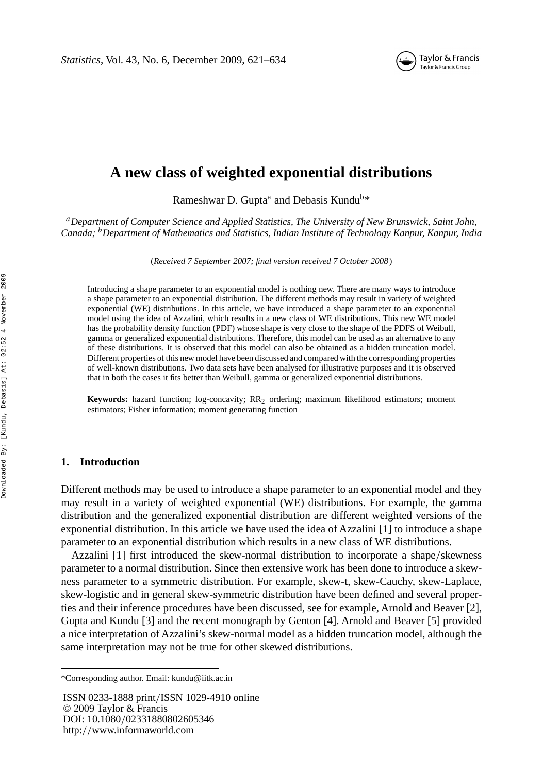

# **A new class of weighted exponential distributions**

Rameshwar D. Gupta<sup>a</sup> and Debasis Kundu<sup>b\*</sup>

*<sup>a</sup>Department of Computer Science and Applied Statistics, The University of New Brunswick, Saint John, Canada; <sup>b</sup>Department of Mathematics and Statistics, Indian Institute of Technology Kanpur, Kanpur, India*

(*Received 7 September 2007; final version received 7 October 2008* )

Introducing a shape parameter to an exponential model is nothing new. There are many ways to introduce a shape parameter to an exponential distribution. The different methods may result in variety of weighted exponential (WE) distributions. In this article, we have introduced a shape parameter to an exponential model using the idea of Azzalini, which results in a new class of WE distributions. This new WE model has the probability density function (PDF) whose shape is very close to the shape of the PDFS of Weibull, gamma or generalized exponential distributions. Therefore, this model can be used as an alternative to any of these distributions. It is observed that this model can also be obtained as a hidden truncation model. Different properties of this new model have been discussed and compared with the corresponding properties of well-known distributions. Two data sets have been analysed for illustrative purposes and it is observed that in both the cases it fits better than Weibull, gamma or generalized exponential distributions.

**Keywords:** hazard function; log-concavity; RR<sub>2</sub> ordering; maximum likelihood estimators; moment estimators; Fisher information; moment generating function

## **1. Introduction**

Different methods may be used to introduce a shape parameter to an exponential model and they may result in a variety of weighted exponential (WE) distributions. For example, the gamma distribution and the generalized exponential distribution are different weighted versions of the exponential distribution. In this article we have used the idea of Azzalini [1] to introduce a shape parameter to an exponential distribution which results in a new class of WE distributions.

Azzalini [1] first introduced the skew-normal distribution to incorporate a shape*/*skewness parameter to a normal distribution. Since then extensive work has been done to introduce a skewness parameter to a symmetric distribution. For example, skew-t, skew-Cauchy, skew-Laplace, skew-logistic and in general skew-symmetric distribution have been defined and several properties and their inference procedures have been discussed, see for example, Arnold and Beaver [2], Gupta and Kundu [3] and the recent monograph by Genton [4]. Arnold and Beaver [5] provided a nice interpretation of Azzalini's skew-normal model as a hidden truncation model, although the same interpretation may not be true for other skewed distributions.

ISSN 0233-1888 print*/*ISSN 1029-4910 online © 2009 Taylor & Francis DOI: 10.1080*/*02331880802605346 http:*//*www.informaworld.com

<sup>\*</sup>Corresponding author. Email: kundu@iitk.ac.in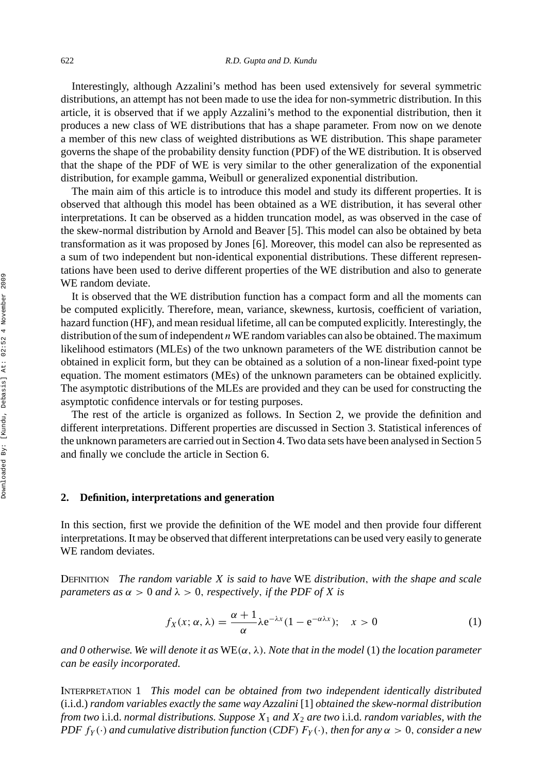Interestingly, although Azzalini's method has been used extensively for several symmetric distributions, an attempt has not been made to use the idea for non-symmetric distribution. In this article, it is observed that if we apply Azzalini's method to the exponential distribution, then it produces a new class of WE distributions that has a shape parameter. From now on we denote a member of this new class of weighted distributions as WE distribution. This shape parameter governs the shape of the probability density function (PDF) of the WE distribution. It is observed that the shape of the PDF of WE is very similar to the other generalization of the exponential distribution, for example gamma, Weibull or generalized exponential distribution.

The main aim of this article is to introduce this model and study its different properties. It is observed that although this model has been obtained as a WE distribution, it has several other interpretations. It can be observed as a hidden truncation model, as was observed in the case of the skew-normal distribution by Arnold and Beaver [5]. This model can also be obtained by beta transformation as it was proposed by Jones [6]. Moreover, this model can also be represented as a sum of two independent but non-identical exponential distributions. These different representations have been used to derive different properties of the WE distribution and also to generate WE random deviate.

It is observed that the WE distribution function has a compact form and all the moments can be computed explicitly. Therefore, mean, variance, skewness, kurtosis, coefficient of variation, hazard function (HF), and mean residual lifetime, all can be computed explicitly. Interestingly, the distribution of the sum of independent *n* WE random variables can also be obtained. The maximum likelihood estimators (MLEs) of the two unknown parameters of the WE distribution cannot be obtained in explicit form, but they can be obtained as a solution of a non-linear fixed-point type equation. The moment estimators (MEs) of the unknown parameters can be obtained explicitly. The asymptotic distributions of the MLEs are provided and they can be used for constructing the asymptotic confidence intervals or for testing purposes.

The rest of the article is organized as follows. In Section 2, we provide the definition and different interpretations. Different properties are discussed in Section 3. Statistical inferences of the unknown parameters are carried out in Section 4. Two data sets have been analysed in Section 5 and finally we conclude the article in Section 6.

#### **2. Definition, interpretations and generation**

In this section, first we provide the definition of the WE model and then provide four different interpretations. It may be observed that different interpretations can be used very easily to generate WE random deviates.

Definition *The random variable X is said to have* WE *distribution, with the shape and scale parameters as*  $\alpha > 0$  *and*  $\lambda > 0$ *, respectively, if the PDF of X is* 

$$
f_X(x; \alpha, \lambda) = \frac{\alpha + 1}{\alpha} \lambda e^{-\lambda x} (1 - e^{-\alpha \lambda x}); \quad x > 0
$$
 (1)

*and 0 otherwise. We will denote it as* WE*(α, λ). Note that in the model* (1) *the location parameter can be easily incorporated.*

Interpretation 1 *This model can be obtained from two independent identically distributed* (i.i.d.) *random variables exactly the same way Azzalini* [1] *obtained the skew-normal distribution from two* i.i.d. *normal distributions. Suppose X*<sup>1</sup> *and X*<sup>2</sup> *are two* i.i.d. *random variables, with the PDF*  $f_Y(\cdot)$  *and cumulative distribution function* (*CDF*)  $F_Y(\cdot)$ , *then for any*  $\alpha > 0$ *, consider a new*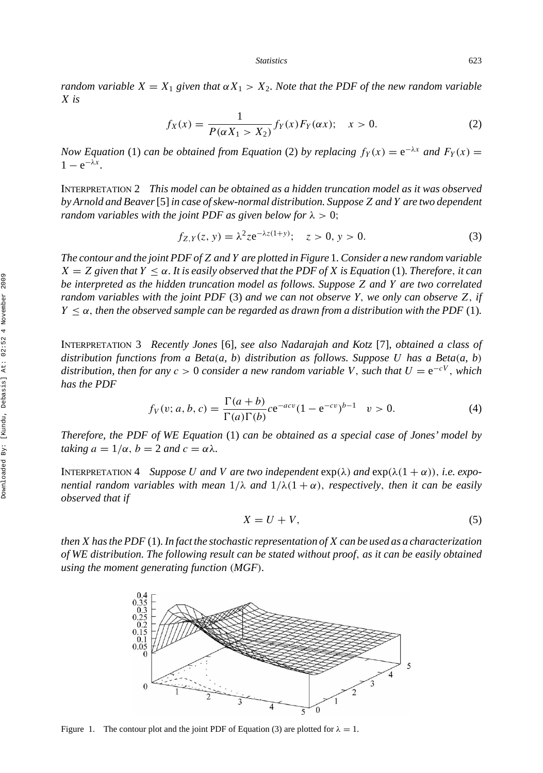*Statistics* 623

*random variable*  $X = X_1$  *given that*  $\alpha X_1 > X_2$ *. Note that the PDF of the new random variable X is*

$$
f_X(x) = \frac{1}{P(\alpha X_1 > X_2)} f_Y(x) F_Y(\alpha x); \quad x > 0.
$$
 (2)

*Now Equation* (1) *can be obtained from Equation* (2) *by replacing*  $f_Y(x) = e^{-\lambda x}$  *and*  $F_Y(x) =$  $1 - e^{-\lambda x}$ .

Interpretation 2 *This model can be obtained as a hidden truncation model as it was observed by Arnold and Beaver*[5] *in case of skew-normal distribution. SupposeZ and Y are two dependent random variables with the joint PDF as given below for*  $\lambda > 0$ ;

$$
f_{Z,Y}(z, y) = \lambda^2 z e^{-\lambda z (1+y)}; \quad z > 0, y > 0.
$$
 (3)

*The contour and the joint PDF ofZ and Y are plotted in Figure* 1*. Consider a new random variable*  $X = Z$  *given that*  $Y \leq \alpha$ *. It is easily observed that the PDF of*  $X$  *is Equation* (1)*. Therefore, it can be interpreted as the hidden truncation model as follows. Suppose Z and Y are two correlated random variables with the joint PDF* (3) *and we can not observe Y, we only can observe Z, if*  $Y \leq \alpha$ , *then the observed sample can be regarded as drawn from a distribution with the PDF* (1).

Interpretation 3 *Recently Jones* [6], *see also Nadarajah and Kotz* [7], *obtained a class of distribution functions from a Beta(a, b) distribution as follows. Suppose U has a Beta(a, b) distribution, then for any*  $c > 0$  *consider a new random variable V, such that*  $U = e^{-cV}$ *, which has the PDF*

$$
f_V(v; a, b, c) = \frac{\Gamma(a+b)}{\Gamma(a)\Gamma(b)} c e^{-acv} (1 - e^{-cv})^{b-1} \quad v > 0.
$$
 (4)

*Therefore, the PDF of WE Equation* (1) *can be obtained as a special case of Jones' model by taking*  $a = 1/\alpha$ ,  $b = 2$  *and*  $c = \alpha\lambda$ .

INTERPRETATION 4 *Suppose U and V are two independent*  $exp(\lambda)$  *and*  $exp(\lambda(1 + \alpha))$ *, i.e. exponential random variables with mean*  $1/\lambda$  *and*  $1/\lambda(1 + \alpha)$ *, respectively, then it can be easily observed that if*

$$
X = U + V,\tag{5}
$$

*then X has the PDF* (1)*. In fact the stochastic representation of X can be used as a characterization of WE distribution. The following result can be stated without proof, as it can be easily obtained using the moment generating function (MGF).*



Figure 1. The contour plot and the joint PDF of Equation (3) are plotted for  $\lambda = 1$ .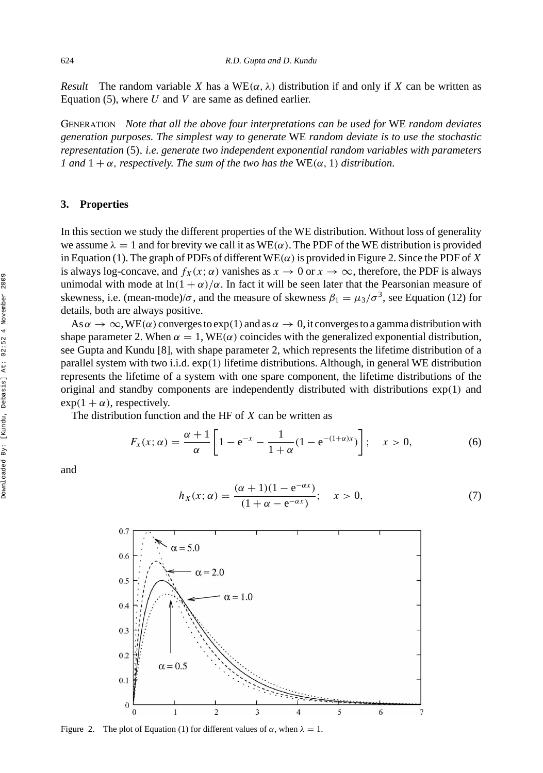*Result* The random variable *X* has a  $WE(\alpha, \lambda)$  distribution if and only if *X* can be written as Equation (5), where *U* and *V* are same as defined earlier.

Generation *Note that all the above four interpretations can be used for* WE *random deviates generation purposes. The simplest way to generate* WE *random deviate is to use the stochastic representation* (5)*, i.e. generate two independent exponential random variables with parameters 1* and  $1 + \alpha$ , *respectively. The sum of the two has the*  $WE(\alpha, 1)$  *distribution.* 

## **3. Properties**

In this section we study the different properties of the WE distribution. Without loss of generality we assume  $\lambda = 1$  and for brevity we call it as  $WE(\alpha)$ . The PDF of the WE distribution is provided in Equation (1). The graph of PDFs of different  $WE(\alpha)$  is provided in Figure 2. Since the PDF of *X* is always log-concave, and  $f_X(x; \alpha)$  vanishes as  $x \to 0$  or  $x \to \infty$ , therefore, the PDF is always unimodal with mode at  $\ln(1 + \alpha)/\alpha$ . In fact it will be seen later that the Pearsonian measure of skewness, i.e. (mean-mode)/ $\sigma$ , and the measure of skewness  $\beta_1 = \mu_3/\sigma^3$ , see Equation (12) for details, both are always positive.

 $As \alpha \to \infty$ , WE( $\alpha$ ) converges to exp(1) and as  $\alpha \to 0$ , it converges to a gamma distribution with shape parameter 2. When  $\alpha = 1$ , WE( $\alpha$ ) coincides with the generalized exponential distribution, see Gupta and Kundu [8], with shape parameter 2, which represents the lifetime distribution of a parallel system with two i.i.d. exp*(*1*)* lifetime distributions. Although, in general WE distribution represents the lifetime of a system with one spare component, the lifetime distributions of the original and standby components are independently distributed with distributions exp*(*1*)* and  $\exp(1 + \alpha)$ , respectively.

The distribution function and the HF of *X* can be written as

$$
F_x(x; \alpha) = \frac{\alpha + 1}{\alpha} \left[ 1 - e^{-x} - \frac{1}{1 + \alpha} (1 - e^{-(1 + \alpha)x}) \right]; \quad x > 0,
$$
 (6)

and

$$
h_X(x; \alpha) = \frac{(\alpha + 1)(1 - e^{-\alpha x})}{(1 + \alpha - e^{-\alpha x})}; \quad x > 0,
$$
\n(7)



Figure 2. The plot of Equation (1) for different values of  $\alpha$ , when  $\lambda = 1$ .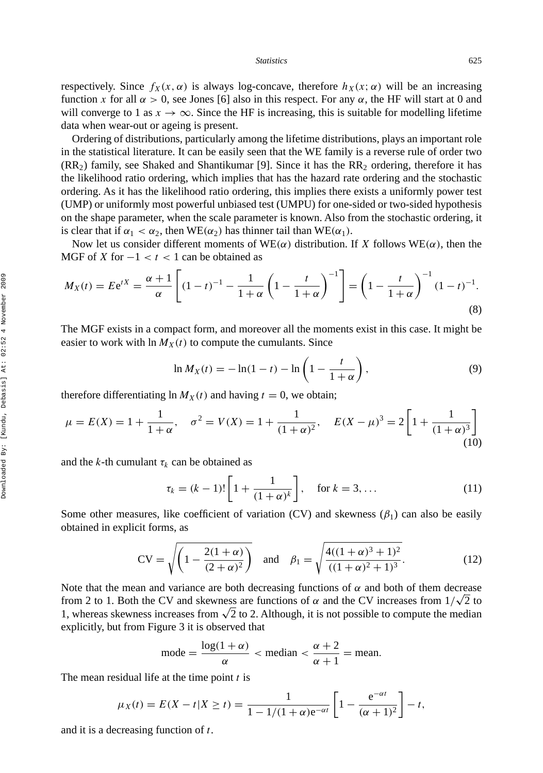respectively. Since  $f_X(x, \alpha)$  is always log-concave, therefore  $h_X(x, \alpha)$  will be an increasing function *x* for all  $\alpha > 0$ , see Jones [6] also in this respect. For any  $\alpha$ , the HF will start at 0 and will converge to 1 as  $x \to \infty$ . Since the HF is increasing, this is suitable for modelling lifetime data when wear-out or ageing is present.

Ordering of distributions, particularly among the lifetime distributions, plays an important role in the statistical literature. It can be easily seen that the WE family is a reverse rule of order two  $(RR<sub>2</sub>)$  family, see Shaked and Shantikumar [9]. Since it has the  $RR<sub>2</sub>$  ordering, therefore it has the likelihood ratio ordering, which implies that has the hazard rate ordering and the stochastic ordering. As it has the likelihood ratio ordering, this implies there exists a uniformly power test (UMP) or uniformly most powerful unbiased test (UMPU) for one-sided or two-sided hypothesis on the shape parameter, when the scale parameter is known. Also from the stochastic ordering, it is clear that if  $\alpha_1 < \alpha_2$ , then  $WE(\alpha_2)$  has thinner tail than  $WE(\alpha_1)$ .

Now let us consider different moments of WE*(α)* distribution. If *X* follows WE*(α)*, then the MGF of *X* for  $-1 < t < 1$  can be obtained as

$$
M_X(t) = E e^{tX} = \frac{\alpha + 1}{\alpha} \left[ (1 - t)^{-1} - \frac{1}{1 + \alpha} \left( 1 - \frac{t}{1 + \alpha} \right)^{-1} \right] = \left( 1 - \frac{t}{1 + \alpha} \right)^{-1} (1 - t)^{-1}.
$$
\n(8)

The MGF exists in a compact form, and moreover all the moments exist in this case. It might be easier to work with  $\ln M_X(t)$  to compute the cumulants. Since

$$
\ln M_X(t) = -\ln(1-t) - \ln\left(1 - \frac{t}{1+\alpha}\right),
$$
\n(9)

therefore differentiating  $\ln M_X(t)$  and having  $t = 0$ , we obtain;

$$
\mu = E(X) = 1 + \frac{1}{1 + \alpha}, \quad \sigma^2 = V(X) = 1 + \frac{1}{(1 + \alpha)^2}, \quad E(X - \mu)^3 = 2\left[1 + \frac{1}{(1 + \alpha)^3}\right]
$$
(10)

and the *k*-th cumulant  $\tau_k$  can be obtained as

$$
\tau_k = (k-1)! \left[ 1 + \frac{1}{(1+\alpha)^k} \right], \quad \text{for } k = 3, ... \tag{11}
$$

Some other measures, like coefficient of variation (CV) and skewness  $(\beta_1)$  can also be easily obtained in explicit forms, as

$$
CV = \sqrt{\left(1 - \frac{2(1+\alpha)}{(2+\alpha)^2}\right)} \quad \text{and} \quad \beta_1 = \sqrt{\frac{4((1+\alpha)^3 + 1)^2}{((1+\alpha)^2 + 1)^3}}.
$$
 (12)

Note that the mean and variance are both decreasing functions of  $\alpha$  and both of them decrease Note that the mean and variance are both decreasing functions of  $\alpha$  and both of them decrease<br>from 2 to 1. Both the CV and skewness are functions of  $\alpha$  and the CV increases from 1/ $\sqrt{2}$  to 1, whereas skewness increases from  $\sqrt{2}$  to 2. Although, it is not possible to compute the median explicitly, but from Figure 3 it is observed that

mode = 
$$
\frac{\log(1+\alpha)}{\alpha}
$$
 < - median  $\frac{\alpha+2}{\alpha+1}$  = mean.

The mean residual life at the time point *t* is

$$
\mu_X(t) = E(X - t | X \ge t) = \frac{1}{1 - 1/(1 + \alpha)e^{-\alpha t}} \left[ 1 - \frac{e^{-\alpha t}}{(\alpha + 1)^2} \right] - t,
$$

and it is a decreasing function of *t*.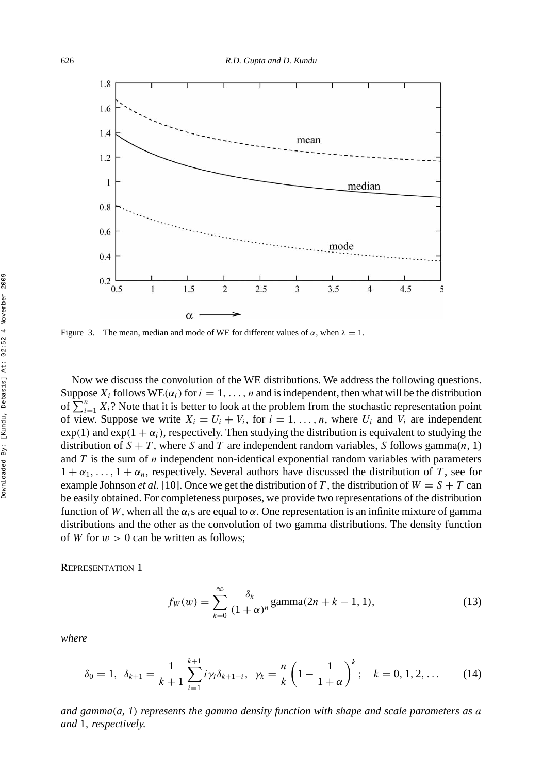

Figure 3. The mean, median and mode of WE for different values of  $\alpha$ , when  $\lambda = 1$ .

Now we discuss the convolution of the WE distributions. We address the following questions. Suppose  $X_i$  follows  $WE(\alpha_i)$  for  $i = 1, \ldots, n$  and is independent, then what will be the distribution of  $\sum_{i=1}^{n} X_i$ ? Note that it is better to look at the problem from the stochastic representation point of view. Suppose we write  $X_i = U_i + V_i$ , for  $i = 1, \ldots, n$ , where  $U_i$  and  $V_i$  are independent  $\exp(1)$  and  $\exp(1 + \alpha_i)$ , respectively. Then studying the distribution is equivalent to studying the distribution of  $S + T$ , where *S* and *T* are independent random variables, *S* follows gamma $(n, 1)$ and *T* is the sum of *n* independent non-identical exponential random variables with parameters  $1 + \alpha_1, \ldots, 1 + \alpha_n$ , respectively. Several authors have discussed the distribution of *T*, see for example Johnson *et al.* [10]. Once we get the distribution of *T*, the distribution of  $W = S + T$  can be easily obtained. For completeness purposes, we provide two representations of the distribution function of *W*, when all the  $\alpha_i$ s are equal to  $\alpha$ . One representation is an infinite mixture of gamma distributions and the other as the convolution of two gamma distributions. The density function of *W* for  $w > 0$  can be written as follows;

Representation 1

$$
f_W(w) = \sum_{k=0}^{\infty} \frac{\delta_k}{(1+\alpha)^n} \text{gamma}(2n+k-1,1),
$$
 (13)

*where*

$$
\delta_0 = 1, \ \ \delta_{k+1} = \frac{1}{k+1} \sum_{i=1}^{k+1} i \gamma_i \delta_{k+1-i}, \ \ \gamma_k = \frac{n}{k} \left( 1 - \frac{1}{1+\alpha} \right)^k; \quad k = 0, 1, 2, \dots \tag{14}
$$

*and gamma* $(a, 1)$  *represents the gamma density function with shape and scale parameters as a and* 1*, respectively.*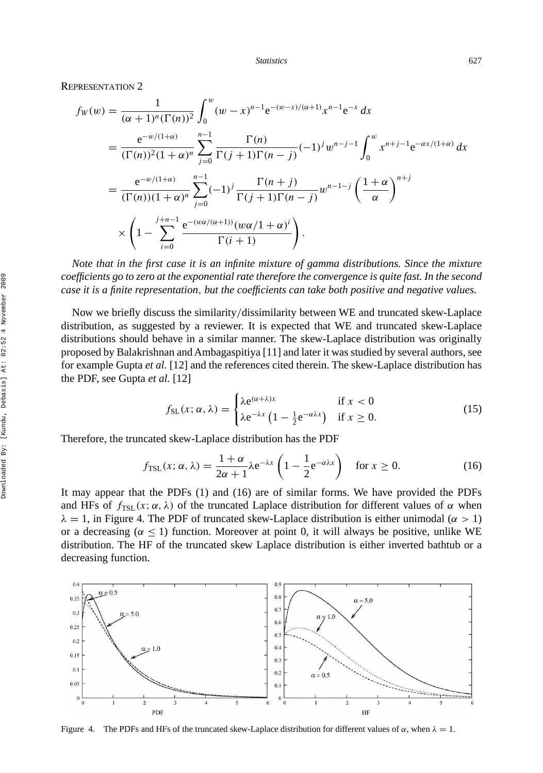Representation 2

$$
f_W(w) = \frac{1}{(\alpha+1)^n (\Gamma(n))^2} \int_0^w (w-x)^{n-1} e^{-(w-x)/(\alpha+1)} x^{n-1} e^{-x} dx
$$
  
\n
$$
= \frac{e^{-w/(1+\alpha)}}{(\Gamma(n))^2 (1+\alpha)^n} \sum_{j=0}^{n-1} \frac{\Gamma(n)}{\Gamma(j+1) \Gamma(n-j)} (-1)^j w^{n-j-1} \int_0^w x^{n+j-1} e^{-\alpha x/(1+\alpha)} dx
$$
  
\n
$$
= \frac{e^{-w/(1+\alpha)}}{(\Gamma(n))(1+\alpha)^n} \sum_{j=0}^{n-1} (-1)^j \frac{\Gamma(n+j)}{\Gamma(j+1) \Gamma(n-j)} w^{n-1-j} \left(\frac{1+\alpha}{\alpha}\right)^{n+j}
$$
  
\n
$$
\times \left(1 - \sum_{i=0}^{j+n-1} \frac{e^{-(w\alpha/(\alpha+1))}(w\alpha/1+\alpha)^i}{\Gamma(i+1)}\right).
$$

*Note that in the first case it is an infinite mixture of gamma distributions. Since the mixture coefficients go to zero at the exponential rate therefore the convergence is quite fast. In the second case it is a finite representation, but the coefficients can take both positive and negative values.*

Now we briefly discuss the similarity*/*dissimilarity between WE and truncated skew-Laplace distribution, as suggested by a reviewer. It is expected that WE and truncated skew-Laplace distributions should behave in a similar manner. The skew-Laplace distribution was originally proposed by Balakrishnan and Ambagaspitiya [11] and later it was studied by several authors, see for example Gupta *et al.* [12] and the references cited therein. The skew-Laplace distribution has the PDF, see Gupta *et al.* [12]

$$
f_{\text{SL}}(x; \alpha, \lambda) = \begin{cases} \lambda e^{(\alpha + \lambda)x} & \text{if } x < 0\\ \lambda e^{-\lambda x} \left(1 - \frac{1}{2} e^{-\alpha \lambda x}\right) & \text{if } x \ge 0. \end{cases} \tag{15}
$$

Therefore, the truncated skew-Laplace distribution has the PDF

$$
f_{\text{TSL}}(x; \alpha, \lambda) = \frac{1+\alpha}{2\alpha+1} \lambda e^{-\lambda x} \left(1 - \frac{1}{2} e^{-\alpha \lambda x} \right) \quad \text{for } x \ge 0.
$$
 (16)

It may appear that the PDFs (1) and (16) are of similar forms. We have provided the PDFs and HFs of  $f_{\text{TSL}}(x; \alpha, \lambda)$  of the truncated Laplace distribution for different values of  $\alpha$  when *λ* = 1, in Figure 4. The PDF of truncated skew-Laplace distribution is either unimodal (*α >* 1) or a decreasing ( $\alpha \leq 1$ ) function. Moreover at point 0, it will always be positive, unlike WE distribution. The HF of the truncated skew Laplace distribution is either inverted bathtub or a decreasing function.



Figure 4. The PDFs and HFs of the truncated skew-Laplace distribution for different values of  $\alpha$ , when  $\lambda = 1$ .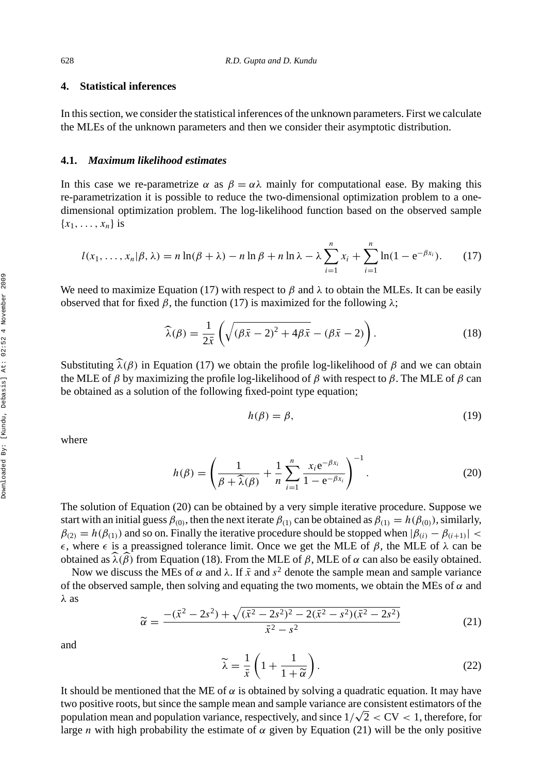# **4. Statistical inferences**

In this section, we consider the statistical inferences of the unknown parameters. First we calculate the MLEs of the unknown parameters and then we consider their asymptotic distribution.

## **4.1.** *Maximum likelihood estimates*

In this case we re-parametrize  $\alpha$  as  $\beta = \alpha \lambda$  mainly for computational ease. By making this re-parametrization it is possible to reduce the two-dimensional optimization problem to a onedimensional optimization problem. The log-likelihood function based on the observed sample  ${x_1, \ldots, x_n}$  is

$$
l(x_1, ..., x_n | \beta, \lambda) = n \ln(\beta + \lambda) - n \ln \beta + n \ln \lambda - \lambda \sum_{i=1}^n x_i + \sum_{i=1}^n \ln(1 - e^{-\beta x_i}).
$$
 (17)

We need to maximize Equation (17) with respect to  $\beta$  and  $\lambda$  to obtain the MLEs. It can be easily observed that for fixed  $\beta$ , the function (17) is maximized for the following  $\lambda$ ;

$$
\widehat{\lambda}(\beta) = \frac{1}{2\bar{x}} \left( \sqrt{(\beta \bar{x} - 2)^2 + 4\beta \bar{x}} - (\beta \bar{x} - 2) \right).
$$
 (18)

Substituting  $\widehat{\lambda}(\beta)$  in Equation (17) we obtain the profile log-likelihood of  $\beta$  and we can obtain the MLE of  $\beta$  by maximizing the profile log-likelihood of  $\beta$  with respect to  $\beta$ . The MLE of  $\beta$  can be obtained as a solution of the following fixed-point type equation;

$$
h(\beta) = \beta,\tag{19}
$$

where

$$
h(\beta) = \left(\frac{1}{\beta + \widehat{\lambda}(\beta)} + \frac{1}{n} \sum_{i=1}^{n} \frac{x_i e^{-\beta x_i}}{1 - e^{-\beta x_i}}\right)^{-1}.
$$
 (20)

The solution of Equation (20) can be obtained by a very simple iterative procedure. Suppose we start with an initial guess  $\beta_{(0)}$ , then the next iterate  $\beta_{(1)}$  can be obtained as  $\beta_{(1)} = h(\beta_{(0)})$ , similarly,  $\beta_{(2)} = h(\beta_{(1)})$  and so on. Finally the iterative procedure should be stopped when  $|\beta_{(i)} - \beta_{(i+1)}|$  < , where  is a preassigned tolerance limit. Once we get the MLE of *β*, the MLE of *λ* can be obtained as*λ(β)* from Equation (18). From the MLE of *β*, MLE of *α* can also be easily obtained.

Now we discuss the MEs of *α* and  $λ$ . If  $\bar{x}$  and  $s^2$  denote the sample mean and sample variance of the observed sample, then solving and equating the two moments, we obtain the MEs of *α* and *λ* as

$$
\widetilde{\alpha} = \frac{-(\bar{x}^2 - 2s^2) + \sqrt{(\bar{x}^2 - 2s^2)^2 - 2(\bar{x}^2 - s^2)(\bar{x}^2 - 2s^2)}}{\bar{x}^2 - s^2}
$$
\n(21)

and

$$
\widetilde{\lambda} = \frac{1}{\bar{x}} \left( 1 + \frac{1}{1 + \widetilde{\alpha}} \right). \tag{22}
$$

It should be mentioned that the ME of  $\alpha$  is obtained by solving a quadratic equation. It may have two positive roots, but since the sample mean and sample variance are consistent estimators of the population mean and population variance, respectively, and since 1*/* <sup>√</sup><sup>2</sup> *<sup>&</sup>lt;* CV *<sup>&</sup>lt;* 1, therefore, for large *n* with high probability the estimate of  $\alpha$  given by Equation (21) will be the only positive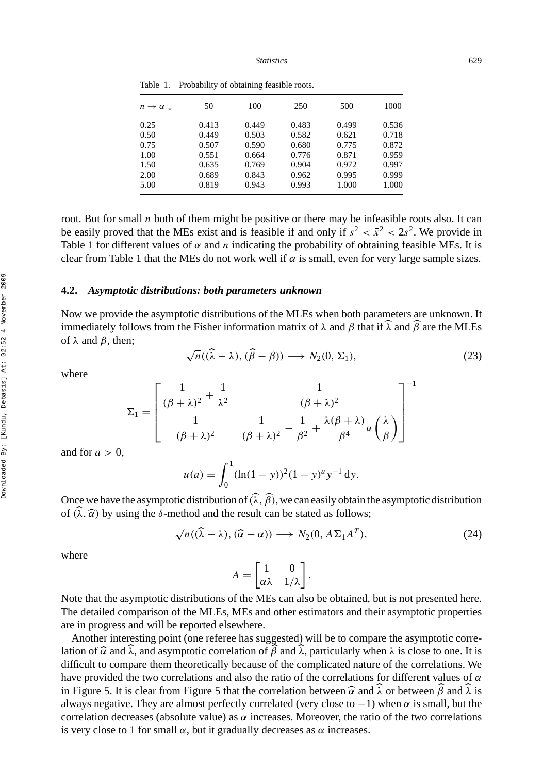| $n \rightarrow \alpha \downarrow$ | 50    | 100   | 250   | 500   | 1000  |
|-----------------------------------|-------|-------|-------|-------|-------|
| 0.25                              | 0.413 | 0.449 | 0.483 | 0.499 | 0.536 |
| 0.50                              | 0.449 | 0.503 | 0.582 | 0.621 | 0.718 |
| 0.75                              | 0.507 | 0.590 | 0.680 | 0.775 | 0.872 |
| 1.00                              | 0.551 | 0.664 | 0.776 | 0.871 | 0.959 |
| 1.50                              | 0.635 | 0.769 | 0.904 | 0.972 | 0.997 |
| 2.00                              | 0.689 | 0.843 | 0.962 | 0.995 | 0.999 |
| 5.00                              | 0.819 | 0.943 | 0.993 | 1.000 | 1.000 |

Table 1. Probability of obtaining feasible roots.

root. But for small *n* both of them might be positive or there may be infeasible roots also. It can be easily proved that the MEs exist and is feasible if and only if  $s^2 < \bar{x}^2 < 2s^2$ . We provide in Table 1 for different values of  $\alpha$  and  $n$  indicating the probability of obtaining feasible MEs. It is clear from Table 1 that the MEs do not work well if  $\alpha$  is small, even for very large sample sizes.

#### **4.2.** *Asymptotic distributions: both parameters unknown*

Now we provide the asymptotic distributions of the MLEs when both parameters are unknown. It immediately follows from the Fisher information matrix of *λ* and *β* that if*λ* and *β* are the MLEs of  $\lambda$  and  $\beta$ , then;

where

$$
\sqrt{n}((\widehat{\lambda}-\lambda),(\widehat{\beta}-\beta))\longrightarrow N_2(0,\Sigma_1),\tag{23}
$$

−1

$$
\Sigma_1 = \begin{bmatrix} \frac{1}{(\beta + \lambda)^2} + \frac{1}{\lambda^2} & \frac{1}{(\beta + \lambda)^2} \\ \frac{1}{(\beta + \lambda)^2} & \frac{1}{(\beta + \lambda)^2} - \frac{1}{\beta^2} + \frac{\lambda(\beta + \lambda)}{\beta^4} u\left(\frac{\lambda}{\beta}\right) \end{bmatrix}
$$

and for  $a > 0$ ,

$$
u(a) = \int_0^1 (\ln(1-y))^2 (1-y)^a y^{-1} dy.
$$

Once we have the asymptotic distribution of  $(\widehat{\lambda}, \widehat{\beta})$ , we can easily obtain the asymptotic distribution of  $(\lambda, \hat{\alpha})$  by using the *δ*-method and the result can be stated as follows;

$$
\sqrt{n}((\widehat{\lambda} - \lambda), (\widehat{\alpha} - \alpha)) \longrightarrow N_2(0, A\Sigma_1 A^T), \tag{24}
$$

where

$$
A = \begin{bmatrix} 1 & 0 \\ \alpha \lambda & 1/\lambda \end{bmatrix}.
$$

Note that the asymptotic distributions of the MEs can also be obtained, but is not presented here. The detailed comparison of the MLEs, MEs and other estimators and their asymptotic properties are in progress and will be reported elsewhere.

Another interesting point (one referee has suggested) will be to compare the asymptotic correlation of  $\hat{\alpha}$  and  $\lambda$ , and asymptotic correlation of *β* and  $\lambda$ , particularly when  $\lambda$  is close to one. It is difficult to compare them theoretically because of the complicated nature of the correlations. We have provided the two correlations and also the ratio of the correlations for different values of *α* in Figure 5. It is clear from Figure 5 that the correlation between *<sup>α</sup>* and*<sup>λ</sup>* or between *<sup>β</sup>* and*λ* is always negative. They are almost perfectly correlated (very close to  $-1$ ) when  $\alpha$  is small, but the correlation decreases (absolute value) as *α* increases. Moreover, the ratio of the two correlations is very close to 1 for small  $\alpha$ , but it gradually decreases as  $\alpha$  increases.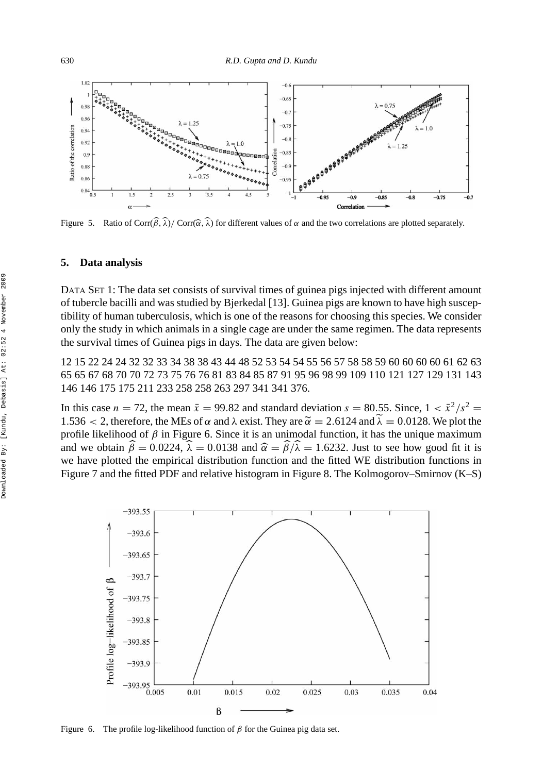

Figure 5. Ratio of Corr $(\widehat{\beta}, \widehat{\lambda})$  Corr $(\widehat{\alpha}, \widehat{\lambda})$  for different values of  $\alpha$  and the two correlations are plotted separately.

#### **5. Data analysis**

DATA SET 1: The data set consists of survival times of guinea pigs injected with different amount of tubercle bacilli and was studied by Bjerkedal [13]. Guinea pigs are known to have high susceptibility of human tuberculosis, which is one of the reasons for choosing this species. We consider only the study in which animals in a single cage are under the same regimen. The data represents the survival times of Guinea pigs in days. The data are given below:

12 15 22 24 24 32 32 33 34 38 38 43 44 48 52 53 54 54 55 56 57 58 58 59 60 60 60 60 61 62 63 65 65 67 68 70 70 72 73 75 76 76 81 83 84 85 87 91 95 96 98 99 109 110 121 127 129 131 143 146 146 175 175 211 233 258 258 263 297 341 341 376.

In this case  $n = 72$ , the mean  $\bar{x} = 99.82$  and standard deviation  $s = 80.55$ . Since,  $1 < \bar{x}^2/s^2 =$ 1.536  $\lt$  2, therefore, the MEs of  $\alpha$  and  $\lambda$  exist. They are  $\widetilde{\alpha} = 2.6124$  and  $\widetilde{\lambda} = 0.0128$ . We plot the profile likelihood of  $\beta$  in Figure 6. Since it is an unimodal function, it has the unique maximum and we obtain  $\beta = 0.0224$ ,  $\lambda = 0.0138$  and  $\hat{\alpha} = \beta/\lambda = 1.6232$ . Just to see how good fit it is we have plotted the empirical distribution function and the fitted WE distribution functions in Figure 7 and the fitted PDF and relative histogram in Figure 8. The Kolmogorov–Smirnov (K–S)



Figure 6. The profile log-likelihood function of *β* for the Guinea pig data set.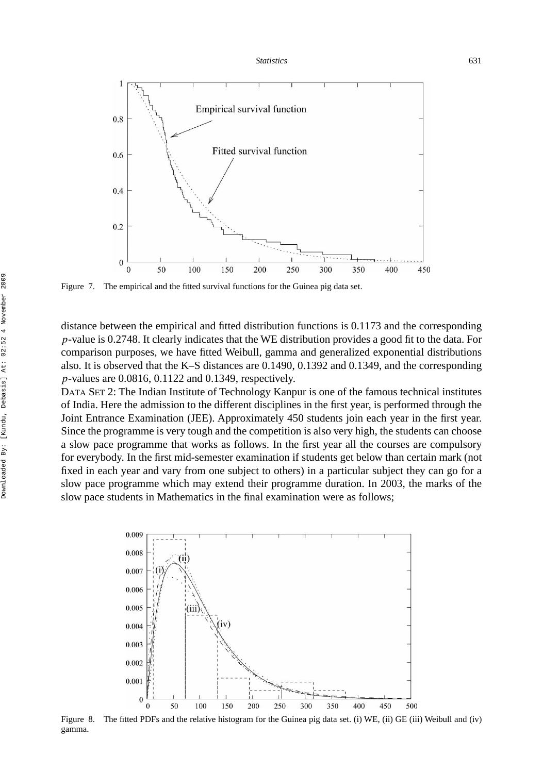

Figure 7. The empirical and the fitted survival functions for the Guinea pig data set.

distance between the empirical and fitted distribution functions is 0.1173 and the corresponding *p*-value is 0.2748. It clearly indicates that the WE distribution provides a good fit to the data. For comparison purposes, we have fitted Weibull, gamma and generalized exponential distributions also. It is observed that the K–S distances are 0.1490, 0.1392 and 0.1349, and the corresponding *p*-values are 0.0816, 0.1122 and 0.1349, respectively.

DATA SET 2: The Indian Institute of Technology Kanpur is one of the famous technical institutes of India. Here the admission to the different disciplines in the first year, is performed through the Joint Entrance Examination (JEE). Approximately 450 students join each year in the first year. Since the programme is very tough and the competition is also very high, the students can choose a slow pace programme that works as follows. In the first year all the courses are compulsory for everybody. In the first mid-semester examination if students get below than certain mark (not fixed in each year and vary from one subject to others) in a particular subject they can go for a slow pace programme which may extend their programme duration. In 2003, the marks of the slow pace students in Mathematics in the final examination were as follows;



Figure 8. The fitted PDFs and the relative histogram for the Guinea pig data set. (i) WE, (ii) GE (iii) Weibull and (iv) gamma.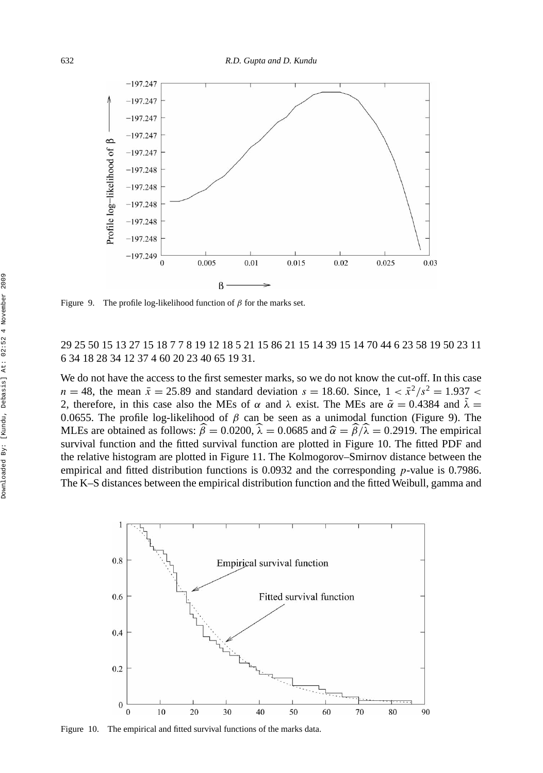

Figure 9. The profile log-likelihood function of *β* for the marks set.

29 25 50 15 13 27 15 18 7 7 8 19 12 18 5 21 15 86 21 15 14 39 15 14 70 44 6 23 58 19 50 23 11 6 34 18 28 34 12 37 4 60 20 23 40 65 19 31.

We do not have the access to the first semester marks, so we do not know the cut-off. In this case *n* = 48, the mean  $\bar{x}$  = 25*.89* and standard deviation *s* = 18*.60.* Since,  $1 < \bar{x}^2/s^2 = 1.937 <$ 2, therefore, in this case also the MEs of  $\alpha$  and  $\lambda$  exist. The MEs are  $\tilde{\alpha} = 0.4384$  and  $\tilde{\lambda} =$ 0*.*0655. The profile log-likelihood of *β* can be seen as a unimodal function (Figure 9). The MLEs are obtained as follows:  $\beta = 0.0200$ ,  $\lambda = 0.0685$  and  $\hat{\alpha} = \beta/\lambda = 0.2919$ . The empirical equation of the fitted equation of the fitted associated in Figure 10. The fitted PDF and survival function and the fitted survival function are plotted in Figure 10. The fitted PDF and the relative histogram are plotted in Figure 11. The Kolmogorov–Smirnov distance between the empirical and fitted distribution functions is 0.0932 and the corresponding *p*-value is 0.7986. The K–S distances between the empirical distribution function and the fitted Weibull, gamma and



Figure 10. The empirical and fitted survival functions of the marks data.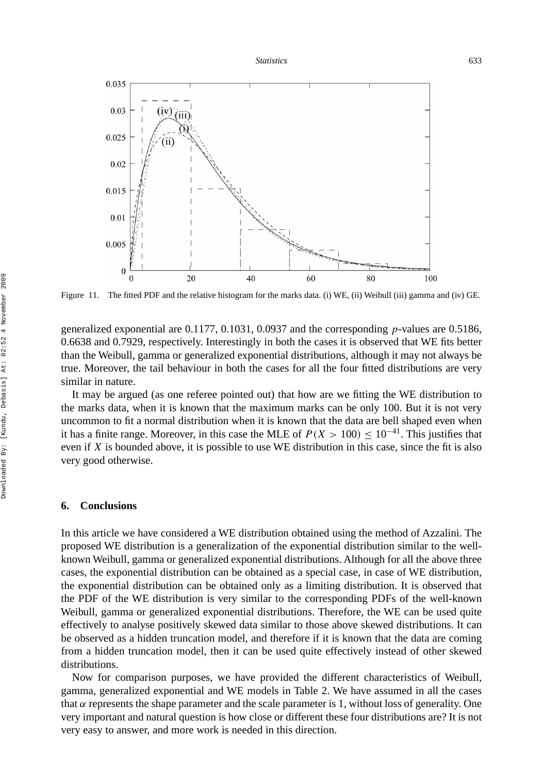*Statistics* 633



Figure 11. The fitted PDF and the relative histogram for the marks data. (i) WE, (ii) Weibull (iii) gamma and (iv) GE.

generalized exponential are 0.1177, 0.1031, 0.0937 and the corresponding *p*-values are 0.5186, 0.6638 and 0.7929, respectively. Interestingly in both the cases it is observed that WE fits better than the Weibull, gamma or generalized exponential distributions, although it may not always be true. Moreover, the tail behaviour in both the cases for all the four fitted distributions are very similar in nature.

It may be argued (as one referee pointed out) that how are we fitting the WE distribution to the marks data, when it is known that the maximum marks can be only 100. But it is not very uncommon to fit a normal distribution when it is known that the data are bell shaped even when it has a finite range. Moreover, in this case the MLE of  $P(X > 100) \le 10^{-41}$ . This justifies that even if *X* is bounded above, it is possible to use WE distribution in this case, since the fit is also very good otherwise.

# **6. Conclusions**

In this article we have considered a WE distribution obtained using the method of Azzalini. The proposed WE distribution is a generalization of the exponential distribution similar to the wellknown Weibull, gamma or generalized exponential distributions. Although for all the above three cases, the exponential distribution can be obtained as a special case, in case of WE distribution, the exponential distribution can be obtained only as a limiting distribution. It is observed that the PDF of the WE distribution is very similar to the corresponding PDFs of the well-known Weibull, gamma or generalized exponential distributions. Therefore, the WE can be used quite effectively to analyse positively skewed data similar to those above skewed distributions. It can be observed as a hidden truncation model, and therefore if it is known that the data are coming from a hidden truncation model, then it can be used quite effectively instead of other skewed distributions.

Now for comparison purposes, we have provided the different characteristics of Weibull, gamma, generalized exponential and WE models in Table 2. We have assumed in all the cases that  $\alpha$  represents the shape parameter and the scale parameter is 1, without loss of generality. One very important and natural question is how close or different these four distributions are? It is not very easy to answer, and more work is needed in this direction.